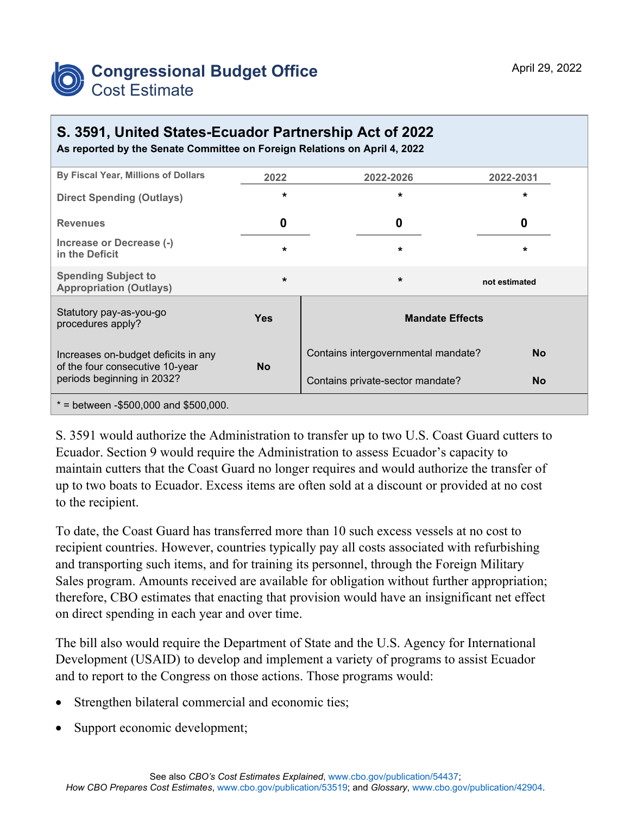

## **S. 3591, United States-Ecuador Partnership Act of 2022**

**As reported by the Senate Committee on Foreign Relations on April 4, 2022**

| By Fiscal Year, Millions of Dollars                                                                  | 2022       | 2022-2026                           | 2022-2031     |
|------------------------------------------------------------------------------------------------------|------------|-------------------------------------|---------------|
| <b>Direct Spending (Outlays)</b>                                                                     | $\star$    | $\star$                             | $\star$       |
| <b>Revenues</b>                                                                                      | 0          | 0                                   | O             |
| Increase or Decrease (-)<br>in the Deficit                                                           | $\star$    | $\star$                             | $\star$       |
| <b>Spending Subject to</b><br><b>Appropriation (Outlays)</b>                                         | $\star$    | $\star$                             | not estimated |
| Statutory pay-as-you-go<br>procedures apply?                                                         | <b>Yes</b> | <b>Mandate Effects</b>              |               |
| Increases on-budget deficits in any<br>of the four consecutive 10-year<br>periods beginning in 2032? | <b>No</b>  | Contains intergovernmental mandate? | <b>No</b>     |
|                                                                                                      |            | Contains private-sector mandate?    | <b>No</b>     |
| $*$ = between -\$500,000 and \$500,000.                                                              |            |                                     |               |

S. 3591 would authorize the Administration to transfer up to two U.S. Coast Guard cutters to Ecuador. Section 9 would require the Administration to assess Ecuador's capacity to maintain cutters that the Coast Guard no longer requires and would authorize the transfer of up to two boats to Ecuador. Excess items are often sold at a discount or provided at no cost to the recipient.

To date, the Coast Guard has transferred more than 10 such excess vessels at no cost to recipient countries. However, countries typically pay all costs associated with refurbishing and transporting such items, and for training its personnel, through the Foreign Military Sales program. Amounts received are available for obligation without further appropriation; therefore, CBO estimates that enacting that provision would have an insignificant net effect on direct spending in each year and over time.

The bill also would require the Department of State and the U.S. Agency for International Development (USAID) to develop and implement a variety of programs to assist Ecuador and to report to the Congress on those actions. Those programs would:

- Strengthen bilateral commercial and economic ties;
- Support economic development;